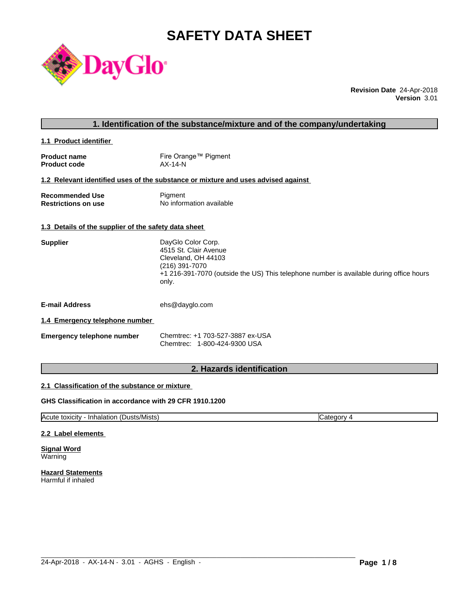# **SAFETY DATA SHEET**



**Revision Date** 24-Apr-2018 **Version** 3.01

# **1. Identification of the substance/mixture and of the company/undertaking**

**1.1 Product identifier** 

| <b>Product name</b> | Fire Orange™ Pigment |
|---------------------|----------------------|
| <b>Product code</b> | $AX-14-N$            |

# **1.2 Relevant identified uses of the substance or mixture and uses advised against**

| <b>Recommended Use</b>     | Pigment                  |
|----------------------------|--------------------------|
| <b>Restrictions on use</b> | No information available |

#### **1.3 Details of the supplier of the safety data sheet**

| <b>Supplier</b> | DayGlo Color Corp.                                                                               |
|-----------------|--------------------------------------------------------------------------------------------------|
|                 | 4515 St. Clair Avenue                                                                            |
|                 | Cleveland, OH 44103                                                                              |
|                 | (216) 391-7070                                                                                   |
|                 | +1 216-391-7070 (outside the US) This telephone number is available during office hours<br>only. |
|                 |                                                                                                  |

**E-mail Address** ehs@dayglo.com

#### **1.4 Emergency telephone number**

| <b>Emergency telephone number</b> | Chemtrec: +1 703-527-3887 ex-USA |
|-----------------------------------|----------------------------------|
|                                   | Chemtrec: 1-800-424-9300 USA     |

# **2. Hazards identification**

#### **2.1 Classification of the substance or mixture**

# **GHS Classification in accordance with 29 CFR 1910.1200**

Acute toxicity - Inhalation (Dusts/Mists) Category 4

 $\_$  ,  $\_$  ,  $\_$  ,  $\_$  ,  $\_$  ,  $\_$  ,  $\_$  ,  $\_$  ,  $\_$  ,  $\_$  ,  $\_$  ,  $\_$  ,  $\_$  ,  $\_$  ,  $\_$  ,  $\_$  ,  $\_$  ,  $\_$  ,  $\_$  ,  $\_$  ,  $\_$  ,  $\_$  ,  $\_$  ,  $\_$  ,  $\_$  ,  $\_$  ,  $\_$  ,  $\_$  ,  $\_$  ,  $\_$  ,  $\_$  ,  $\_$  ,  $\_$  ,  $\_$  ,  $\_$  ,  $\_$  ,  $\_$  ,

#### **2.2 Label elements**

**Signal Word** Warning

**Hazard Statements** Harmful if inhaled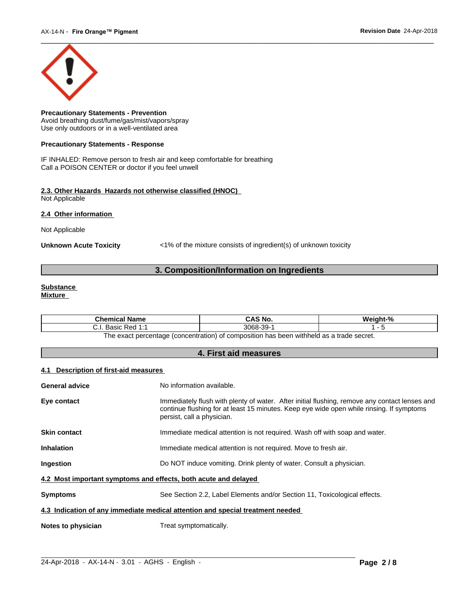

**Precautionary Statements - Prevention** Avoid breathing dust/fume/gas/mist/vapors/spray Use only outdoors or in a well-ventilated area

#### **Precautionary Statements - Response**

IF INHALED: Remove person to fresh air and keep comfortable for breathing Call a POISON CENTER or doctor if you feel unwell

#### **2.3. Other Hazards Hazards not otherwise classified (HNOC)** Not Applicable

**2.4 Other information** 

Not Applicable

**Unknown Acute Toxicity** <1% of the mixture consists of ingredient(s) of unknown toxicity

# **3. Composition/Information on Ingredients**

#### **Substance Mixture**

| Chemical<br>l Name                                                                              | CAS No.             | Mainht <sub>-</sub> % |  |
|-------------------------------------------------------------------------------------------------|---------------------|-----------------------|--|
| 4.4<br>: Red<br><b>Doole</b><br>. ۱. ب<br>sasiv<br>.                                            | -30-<br>3068-<br>ັບ |                       |  |
| tannes ahert e ze hladdiw naad sa t<br>: nercentage (concentration) of composition<br>∣h≙ ≙¥a∩t |                     |                       |  |

The exact percentage (concentration) of composition has been withheld as a trade secret.

# **4. First aid measures**

#### **4.1 Description of first-aid measures**

| <b>General advice</b>                                                          | No information available.                                                                                                                                                                                               |  |  |
|--------------------------------------------------------------------------------|-------------------------------------------------------------------------------------------------------------------------------------------------------------------------------------------------------------------------|--|--|
| Eye contact                                                                    | Immediately flush with plenty of water. After initial flushing, remove any contact lenses and<br>continue flushing for at least 15 minutes. Keep eye wide open while rinsing. If symptoms<br>persist, call a physician. |  |  |
| <b>Skin contact</b>                                                            | Immediate medical attention is not required. Wash off with soap and water.                                                                                                                                              |  |  |
| <b>Inhalation</b>                                                              | Immediate medical attention is not required. Move to fresh air.                                                                                                                                                         |  |  |
| <b>Ingestion</b>                                                               | Do NOT induce vomiting. Drink plenty of water. Consult a physician.                                                                                                                                                     |  |  |
| 4.2 Most important symptoms and effects, both acute and delayed                |                                                                                                                                                                                                                         |  |  |
| <b>Symptoms</b>                                                                | See Section 2.2, Label Elements and/or Section 11, Toxicological effects.                                                                                                                                               |  |  |
| 4.3 Indication of any immediate medical attention and special treatment needed |                                                                                                                                                                                                                         |  |  |
| Notes to physician                                                             | Treat symptomatically.                                                                                                                                                                                                  |  |  |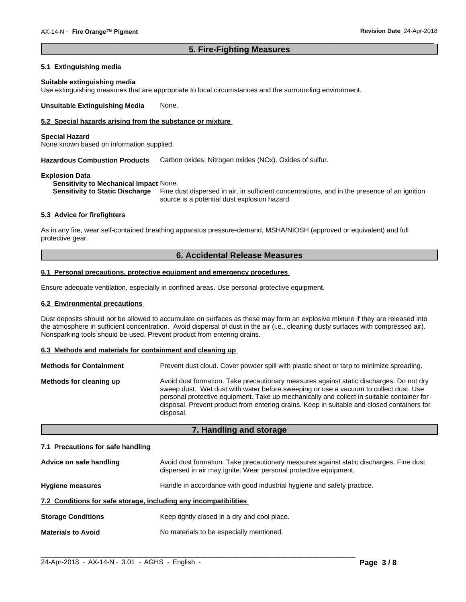# **5. Fire-Fighting Measures**

 $\overline{\phantom{a}}$  ,  $\overline{\phantom{a}}$  ,  $\overline{\phantom{a}}$  ,  $\overline{\phantom{a}}$  ,  $\overline{\phantom{a}}$  ,  $\overline{\phantom{a}}$  ,  $\overline{\phantom{a}}$  ,  $\overline{\phantom{a}}$  ,  $\overline{\phantom{a}}$  ,  $\overline{\phantom{a}}$  ,  $\overline{\phantom{a}}$  ,  $\overline{\phantom{a}}$  ,  $\overline{\phantom{a}}$  ,  $\overline{\phantom{a}}$  ,  $\overline{\phantom{a}}$  ,  $\overline{\phantom{a}}$ 

# **5.1 Extinguishing media**

#### **Suitable extinguishing media**

Use extinguishing measures that are appropriate to local circumstances and the surrounding environment.

**Unsuitable Extinguishing Media** None.

# **5.2 Special hazards arising from the substance or mixture**

#### **Special Hazard**

None known based on information supplied.

**Hazardous Combustion Products** Carbon oxides. Nitrogen oxides (NOx). Oxides of sulfur.

#### **Explosion Data**

**Sensitivity to Mechanical Impact** None.

**Sensitivity to Static Discharge** Fine dust dispersed in air, in sufficient concentrations, and in the presence of an ignition source is a potential dust explosion hazard.

#### **5.3 Advice for firefighters**

As in any fire, wear self-contained breathing apparatus pressure-demand, MSHA/NIOSH (approved or equivalent) and full protective gear.

# **6. Accidental Release Measures**

#### **6.1 Personal precautions, protective equipment and emergency procedures**

Ensure adequate ventilation, especially in confined areas. Use personal protective equipment.

#### **6.2 Environmental precautions**

Dust deposits should not be allowed to accumulate on surfaces as these may form an explosive mixture if they are released into the atmosphere in sufficient concentration. Avoid dispersal of dust in the air (i.e., cleaning dusty surfaces with compressed air). Nonsparking tools should be used. Prevent product from entering drains.

#### **6.3 Methods and materials for containment and cleaning up**

| <b>Methods for Containment</b> | Prevent dust cloud. Cover powder spill with plastic sheet or tarp to minimize spreading.                                                                                                                                                                                                                                                                                                |
|--------------------------------|-----------------------------------------------------------------------------------------------------------------------------------------------------------------------------------------------------------------------------------------------------------------------------------------------------------------------------------------------------------------------------------------|
| Methods for cleaning up        | Avoid dust formation. Take precautionary measures against static discharges. Do not dry<br>sweep dust. Wet dust with water before sweeping or use a vacuum to collect dust. Use<br>personal protective equipment. Take up mechanically and collect in suitable container for<br>disposal. Prevent product from entering drains. Keep in suitable and closed containers for<br>disposal. |

# **7. Handling and storage**

#### **7.1 Precautions for safe handling**

| Advice on safe handling                                          | Avoid dust formation. Take precautionary measures against static discharges. Fine dust<br>dispersed in air may ignite. Wear personal protective equipment. |
|------------------------------------------------------------------|------------------------------------------------------------------------------------------------------------------------------------------------------------|
| <b>Hygiene measures</b>                                          | Handle in accordance with good industrial hygiene and safety practice.                                                                                     |
| 7.2 Conditions for safe storage, including any incompatibilities |                                                                                                                                                            |
| <b>Storage Conditions</b>                                        | Keep tightly closed in a dry and cool place.                                                                                                               |
| <b>Materials to Avoid</b>                                        | No materials to be especially mentioned.                                                                                                                   |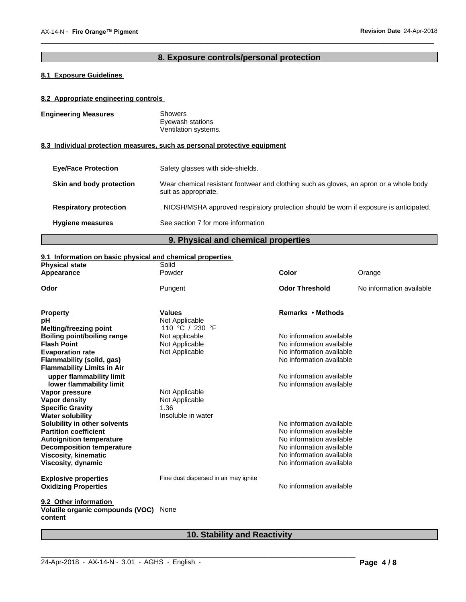an apron or a whole body

# **8. Exposure controls/personal protection**

 $\overline{\phantom{a}}$  ,  $\overline{\phantom{a}}$  ,  $\overline{\phantom{a}}$  ,  $\overline{\phantom{a}}$  ,  $\overline{\phantom{a}}$  ,  $\overline{\phantom{a}}$  ,  $\overline{\phantom{a}}$  ,  $\overline{\phantom{a}}$  ,  $\overline{\phantom{a}}$  ,  $\overline{\phantom{a}}$  ,  $\overline{\phantom{a}}$  ,  $\overline{\phantom{a}}$  ,  $\overline{\phantom{a}}$  ,  $\overline{\phantom{a}}$  ,  $\overline{\phantom{a}}$  ,  $\overline{\phantom{a}}$ 

# **8.1 Exposure Guidelines**

# **8.2 Appropriate engineering controls**

| <b>Engineering Measures</b> | <b>Showers</b><br>Eyewash stations<br>Ventilation systems.                            |
|-----------------------------|---------------------------------------------------------------------------------------|
|                             | 8.3 Individual protection measures, such as personal protective equipment             |
| <b>Eye/Face Protection</b>  | Safety glasses with side-shields.                                                     |
| Skin and body protection    | Wear chemical resistant footwear and clothing such as gloves.<br>suit as appropriate. |

**Respiratory protection** . NIOSH/MSHA approved respiratory protection should be worn if exposure is anticipated.

**Hygiene measures** See section 7 for more information

# **9. Physical and chemical properties**

### **9.1 Information on basic physical and chemical properties**

| <b>Physical state</b>                       | Solid                                 |                          |                          |
|---------------------------------------------|---------------------------------------|--------------------------|--------------------------|
| Appearance                                  | Powder                                | Color                    | Orange                   |
| Odor                                        | Pungent                               | <b>Odor Threshold</b>    | No information available |
| <b>Property</b>                             | <b>Values</b>                         | Remarks • Methods        |                          |
| рH                                          | Not Applicable                        |                          |                          |
| <b>Melting/freezing point</b>               | 110 °C / 230 °F                       |                          |                          |
| <b>Boiling point/boiling range</b>          | Not applicable                        | No information available |                          |
| <b>Flash Point</b>                          | Not Applicable                        | No information available |                          |
| <b>Evaporation rate</b>                     | Not Applicable                        | No information available |                          |
| Flammability (solid, gas)                   |                                       | No information available |                          |
| <b>Flammability Limits in Air</b>           |                                       |                          |                          |
| upper flammability limit                    |                                       | No information available |                          |
| lower flammability limit                    |                                       | No information available |                          |
| Vapor pressure                              | Not Applicable                        |                          |                          |
| <b>Vapor density</b>                        | Not Applicable                        |                          |                          |
| <b>Specific Gravity</b>                     | 1.36                                  |                          |                          |
| <b>Water solubility</b>                     | Insoluble in water                    |                          |                          |
| Solubility in other solvents                |                                       | No information available |                          |
| <b>Partition coefficient</b>                |                                       | No information available |                          |
| <b>Autoignition temperature</b>             |                                       | No information available |                          |
| <b>Decomposition temperature</b>            |                                       | No information available |                          |
| <b>Viscosity, kinematic</b>                 |                                       | No information available |                          |
| Viscosity, dynamic                          |                                       | No information available |                          |
| <b>Explosive properties</b>                 | Fine dust dispersed in air may ignite |                          |                          |
| <b>Oxidizing Properties</b>                 |                                       | No information available |                          |
| 9.2 Other information                       |                                       |                          |                          |
| Volatile organic compounds (VOC)<br>content | None                                  |                          |                          |
|                                             |                                       |                          |                          |

# **10. Stability and Reactivity**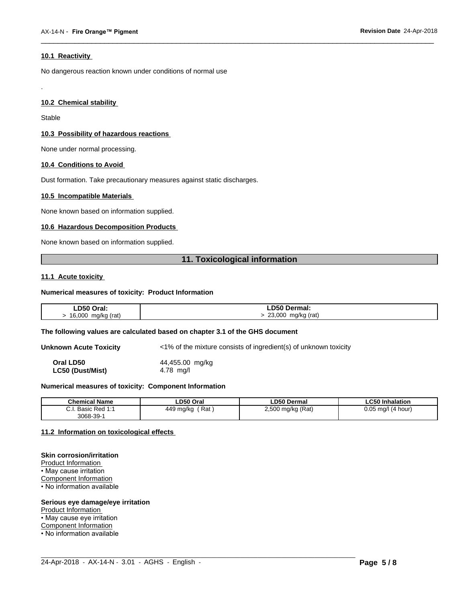## **10.1 Reactivity**

No dangerous reaction known under conditions of normal use

# **10.2 Chemical stability**

Stable

.

#### **10.3 Possibility of hazardous reactions**

None under normal processing.

#### **10.4 Conditions to Avoid**

Dust formation. Take precautionary measures against static discharges.

#### **10.5 Incompatible Materials**

None known based on information supplied.

#### **10.6 Hazardous Decomposition Products**

None known based on information supplied.

# **11. Toxicological information**

 $\overline{\phantom{a}}$  ,  $\overline{\phantom{a}}$  ,  $\overline{\phantom{a}}$  ,  $\overline{\phantom{a}}$  ,  $\overline{\phantom{a}}$  ,  $\overline{\phantom{a}}$  ,  $\overline{\phantom{a}}$  ,  $\overline{\phantom{a}}$  ,  $\overline{\phantom{a}}$  ,  $\overline{\phantom{a}}$  ,  $\overline{\phantom{a}}$  ,  $\overline{\phantom{a}}$  ,  $\overline{\phantom{a}}$  ,  $\overline{\phantom{a}}$  ,  $\overline{\phantom{a}}$  ,  $\overline{\phantom{a}}$ 

#### **11.1 Acute toxicity**

#### **Numerical measures of toxicity: Product Information**

| LD50 Oral:                      | LD50 Dermal:                             |
|---------------------------------|------------------------------------------|
| mg/kg (rat)<br>16,000<br>J<br>ີ | 23,000<br>mg/kg (rat)<br>$\cdot$ $\cdot$ |

#### **The following values are calculated based on chapter 3.1 of the GHS document**

**Unknown Acute Toxicity** <1% of the mixture consists of ingredient(s) of unknown toxicity

**Oral LD50** 44,455.00 mg/kg **LC50 (Dust/Mist)** 4.78 mg/l

#### **Numerical measures of toxicity: Component Information**

| <b>Chemical Name</b>                                                                | LD50 Oral        | <b>LD50 Dermal</b>     | <b>LC50 Inhalation</b>   |
|-------------------------------------------------------------------------------------|------------------|------------------------|--------------------------|
| $\sim$<br>$Dod$ 4.4<br><b>Dooin</b><br><b>D</b> asic<br>$\mathsf{r}$ Req.i.<br>υ.ι. | Rat<br>449 mg/kg | ) mg/kg (Rat)<br>2,500 | 0.05<br>(4 hour)<br>ma/l |
| $3068 - 39 - 7$                                                                     |                  |                        |                          |

 $\_$  ,  $\_$  ,  $\_$  ,  $\_$  ,  $\_$  ,  $\_$  ,  $\_$  ,  $\_$  ,  $\_$  ,  $\_$  ,  $\_$  ,  $\_$  ,  $\_$  ,  $\_$  ,  $\_$  ,  $\_$  ,  $\_$  ,  $\_$  ,  $\_$  ,  $\_$  ,  $\_$  ,  $\_$  ,  $\_$  ,  $\_$  ,  $\_$  ,  $\_$  ,  $\_$  ,  $\_$  ,  $\_$  ,  $\_$  ,  $\_$  ,  $\_$  ,  $\_$  ,  $\_$  ,  $\_$  ,  $\_$  ,  $\_$  ,

#### **11.2 Information on toxicologicaleffects**

#### **Skin corrosion/irritation**

Product Information • May cause irritation Component Information • No information available

#### **Serious eye damage/eye irritation**

Product Information

• May cause eye irritation

Component Information

• No information available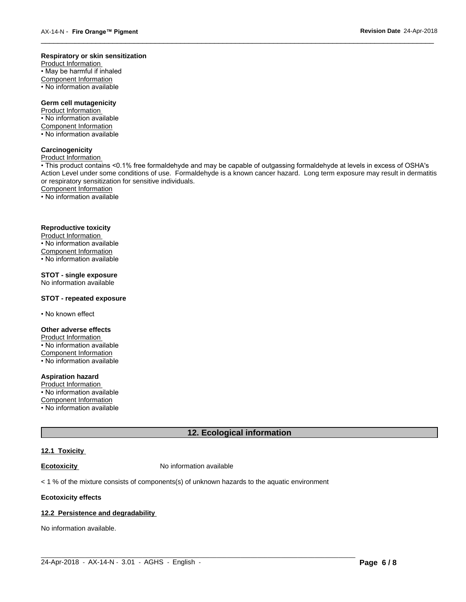#### **Respiratory or skin sensitization**

Product Information  $\overline{\cdot}$  May be harmful if inhaled Component Information • No information available

# **Germ cell mutagenicity**

Product Information • No information available Component Information • No information available

# **Carcinogenicity**

Product Information

• This product contains <0.1% free formaldehyde and may be capable of outgassing formaldehyde at levels in excess of OSHA's Action Level under some conditions of use. Formaldehyde is a known cancer hazard. Long term exposure may result in dermatitis or respiratory sensitization for sensitive individuals.Component Information

 $\overline{\phantom{a}}$  ,  $\overline{\phantom{a}}$  ,  $\overline{\phantom{a}}$  ,  $\overline{\phantom{a}}$  ,  $\overline{\phantom{a}}$  ,  $\overline{\phantom{a}}$  ,  $\overline{\phantom{a}}$  ,  $\overline{\phantom{a}}$  ,  $\overline{\phantom{a}}$  ,  $\overline{\phantom{a}}$  ,  $\overline{\phantom{a}}$  ,  $\overline{\phantom{a}}$  ,  $\overline{\phantom{a}}$  ,  $\overline{\phantom{a}}$  ,  $\overline{\phantom{a}}$  ,  $\overline{\phantom{a}}$ 

• No information available

# **Reproductive toxicity**

Product Information • No information available

Component Information

• No information available

# **STOT - single exposure**

No information available

### **STOT - repeated exposure**

• No known effect

#### **Other adverse effects**

Product Information • No information available Component Information

• No information available

# **Aspiration hazard**

Product Information • No information available

Component Information

• No information available

# **12. Ecological information**

 $\_$  ,  $\_$  ,  $\_$  ,  $\_$  ,  $\_$  ,  $\_$  ,  $\_$  ,  $\_$  ,  $\_$  ,  $\_$  ,  $\_$  ,  $\_$  ,  $\_$  ,  $\_$  ,  $\_$  ,  $\_$  ,  $\_$  ,  $\_$  ,  $\_$  ,  $\_$  ,  $\_$  ,  $\_$  ,  $\_$  ,  $\_$  ,  $\_$  ,  $\_$  ,  $\_$  ,  $\_$  ,  $\_$  ,  $\_$  ,  $\_$  ,  $\_$  ,  $\_$  ,  $\_$  ,  $\_$  ,  $\_$  ,  $\_$  ,

#### **12.1 Toxicity**

**Ecotoxicity No information available** 

 $<$  1 % of the mixture consists of components(s) of unknown hazards to the aquatic environment

#### **Ecotoxicity effects**

#### **12.2 Persistence and degradability**

No information available.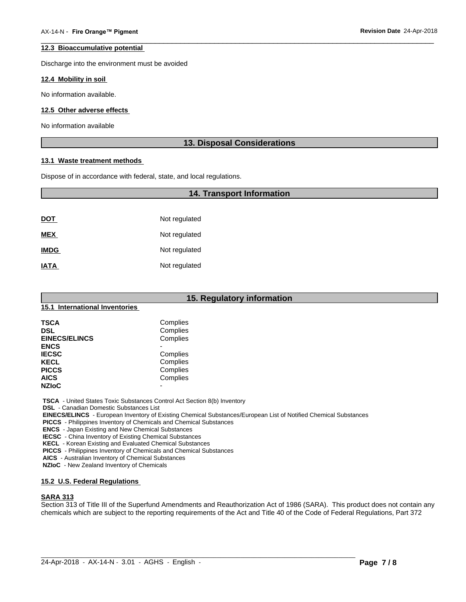#### **12.3 Bioaccumulative potential**

Discharge into the environment must be avoided

#### **12.4 Mobility in soil**

No information available.

#### **12.5 Other adverse effects**

No information available

# **13. Disposal Considerations**

 $\overline{\phantom{a}}$  ,  $\overline{\phantom{a}}$  ,  $\overline{\phantom{a}}$  ,  $\overline{\phantom{a}}$  ,  $\overline{\phantom{a}}$  ,  $\overline{\phantom{a}}$  ,  $\overline{\phantom{a}}$  ,  $\overline{\phantom{a}}$  ,  $\overline{\phantom{a}}$  ,  $\overline{\phantom{a}}$  ,  $\overline{\phantom{a}}$  ,  $\overline{\phantom{a}}$  ,  $\overline{\phantom{a}}$  ,  $\overline{\phantom{a}}$  ,  $\overline{\phantom{a}}$  ,  $\overline{\phantom{a}}$ 

#### **13.1 Waste treatment methods**

Dispose of in accordance with federal, state, and local regulations.

# **14. Transport Information**

| <u>DOT</u>  | Not regulated |
|-------------|---------------|
| <b>MEX</b>  | Not regulated |
| <b>IMDG</b> | Not regulated |
| <b>IATA</b> | Not regulated |

|                                | 15. Regulatory information |
|--------------------------------|----------------------------|
| 15.1 International Inventories |                            |
| <b>TSCA</b>                    | Complies                   |
| <b>DSL</b>                     | Complies                   |
| <b>EINECS/ELINCS</b>           | Complies                   |
| <b>ENCS</b>                    | ۰                          |
| <b>IECSC</b>                   | Complies                   |
| <b>KECL</b>                    | Complies                   |
| <b>PICCS</b>                   | Complies                   |
| <b>AICS</b>                    | Complies                   |
| <b>NZIoC</b>                   | $\overline{\phantom{0}}$   |

 **TSCA** - United States Toxic Substances Control Act Section 8(b) Inventory

 **DSL** - Canadian Domestic Substances List

 **EINECS/ELINCS** - European Inventory of Existing Chemical Substances/European List of Notified Chemical Substances

 **PICCS** - Philippines Inventory of Chemicals and Chemical Substances

 **ENCS** - Japan Existing and New Chemical Substances

 **IECSC** - China Inventory of Existing Chemical Substances

 **KECL** - Korean Existing and Evaluated Chemical Substances

 **PICCS** - Philippines Inventory of Chemicals and Chemical Substances

 **AICS** - Australian Inventory of Chemical Substances

 **NZIoC** - New Zealand Inventory of Chemicals

# **15.2 U.S. Federal Regulations**

# **SARA 313**

Section 313 of Title III of the Superfund Amendments and Reauthorization Act of 1986 (SARA). This product does not contain any chemicals which are subject to the reporting requirements of the Act and Title 40 of the Code of Federal Regulations, Part 372